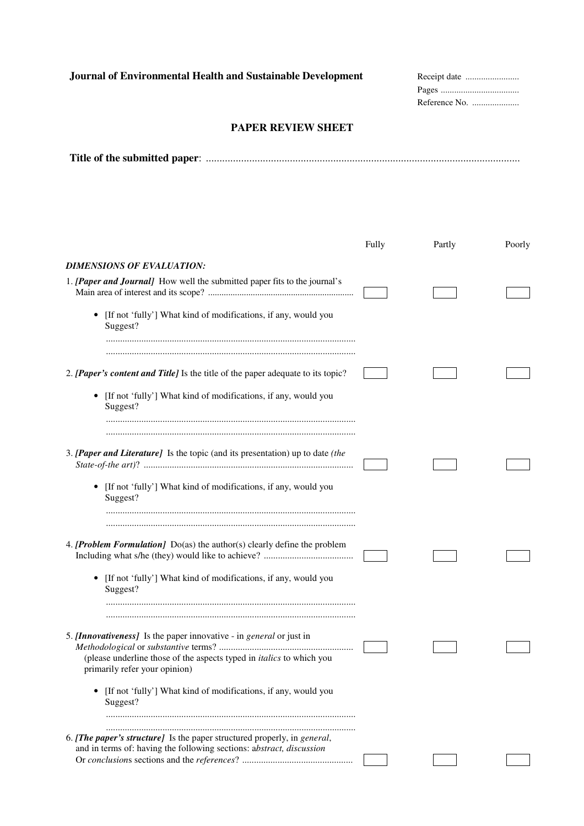## **PAPER REVIEW SHEET**

|--|--|

|                                                                                                              | Fully | Partly | Poorly |
|--------------------------------------------------------------------------------------------------------------|-------|--------|--------|
| DIMENSIONS OF EVALUATION:                                                                                    |       |        |        |
| 1. [Paper and Journal] How well the submitted paper fits to the journal's                                    |       |        |        |
| • [If not 'fully'] What kind of modifications, if any, would you<br>Suggest?                                 |       |        |        |
| 2. [Paper's content and Title] Is the title of the paper adequate to its topic?                              |       |        |        |
| [If not 'fully'] What kind of modifications, if any, would you<br>٠<br>Suggest?                              |       |        |        |
|                                                                                                              |       |        |        |
| 3. [Paper and Literature] Is the topic (and its presentation) up to date (the                                |       |        |        |
| • [If not 'fully'] What kind of modifications, if any, would you<br>Suggest?                                 |       |        |        |
|                                                                                                              |       |        |        |
| 4. [Problem Formulation] $Do(as)$ the author(s) clearly define the problem                                   |       |        |        |
| [If not 'fully'] What kind of modifications, if any, would you<br>٠<br>Suggest?                              |       |        |        |
| 5. [Innovativeness] Is the paper innovative - in general or just in                                          |       |        |        |
| (please underline those of the aspects typed in <i>italics</i> to which you<br>primarily refer your opinion) |       |        |        |
| [If not 'fully'] What kind of modifications, if any, would you<br>Suggest?                                   |       |        |        |
| 6. [The paper's structure] Is the paper structured properly, in general,                                     |       |        |        |
| and in terms of: having the following sections: abstract, discussion                                         |       |        |        |